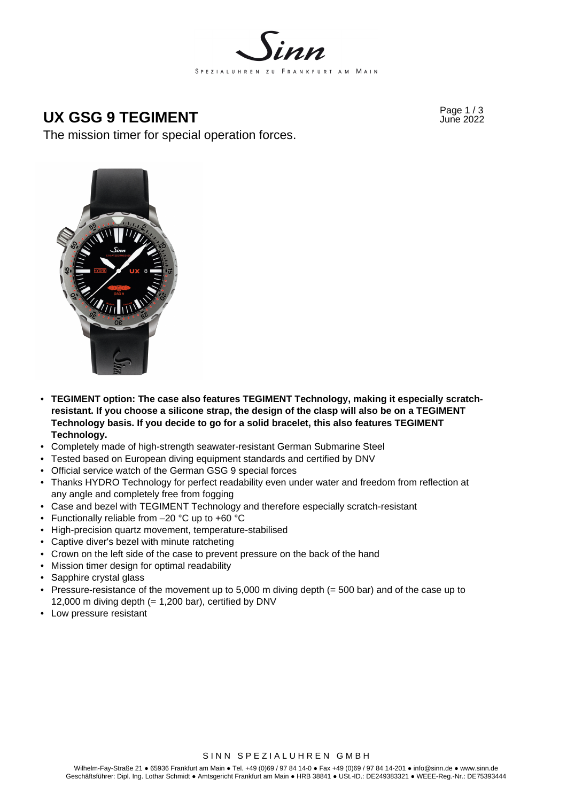

## Page 1 / 3 **UX GSG 9 TEGIMENT** June 2022

The mission timer for special operation forces.



- **TEGIMENT option: The case also features TEGIMENT Technology, making it especially scratchresistant. If you choose a silicone strap, the design of the clasp will also be on a TEGIMENT Technology basis. If you decide to go for a solid bracelet, this also features TEGIMENT Technology.**
- Completely made of high-strength seawater-resistant German Submarine Steel
- Tested based on European diving equipment standards and certified by DNV
- Official service watch of the German GSG 9 special forces
- Thanks HYDRO Technology for perfect readability even under water and freedom from reflection at any angle and completely free from fogging
- Case and bezel with TEGIMENT Technology and therefore especially scratch-resistant
- Functionally reliable from –20 °C up to +60 °C
- High-precision quartz movement, temperature-stabilised
- Captive diver's bezel with minute ratcheting
- Crown on the left side of the case to prevent pressure on the back of the hand
- Mission timer design for optimal readability
- Sapphire crystal glass
- Pressure-resistance of the movement up to 5,000 m diving depth (= 500 bar) and of the case up to 12,000 m diving depth  $(= 1,200$  bar), certified by DNV
- Low pressure resistant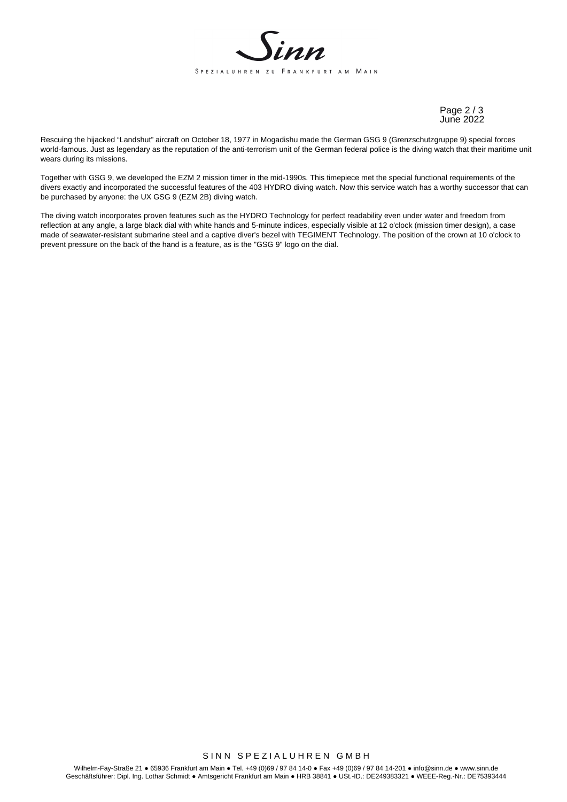

Page 2 / 3 June 2022

Rescuing the hijacked "Landshut" aircraft on October 18, 1977 in Mogadishu made the German GSG 9 (Grenzschutzgruppe 9) special forces world-famous. Just as legendary as the reputation of the anti-terrorism unit of the German federal police is the diving watch that their maritime unit wears during its missions.

Together with GSG 9, we developed the EZM 2 mission timer in the mid-1990s. This timepiece met the special functional requirements of the divers exactly and incorporated the successful features of the 403 HYDRO diving watch. Now this service watch has a worthy successor that can be purchased by anyone: the UX GSG 9 (EZM 2B) diving watch.

The diving watch incorporates proven features such as the HYDRO Technology for perfect readability even under water and freedom from reflection at any angle, a large black dial with white hands and 5-minute indices, especially visible at 12 o'clock (mission timer design), a case made of seawater-resistant submarine steel and a captive diver's bezel with TEGIMENT Technology. The position of the crown at 10 o'clock to prevent pressure on the back of the hand is a feature, as is the "GSG 9" logo on the dial.